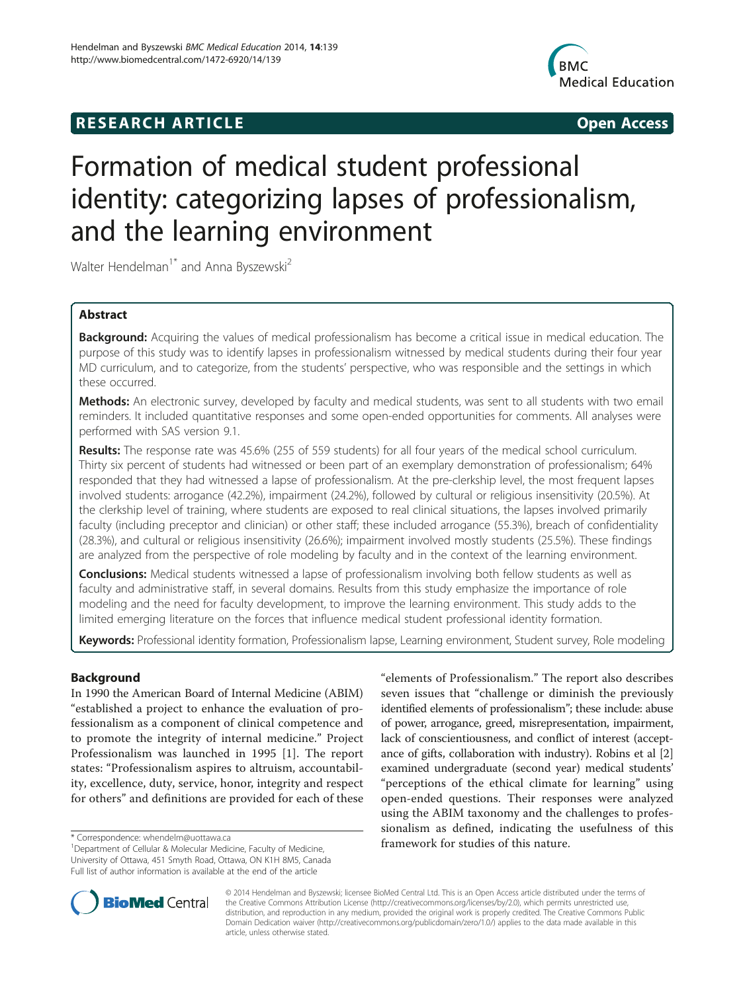# **RESEARCH ARTICLE CONSUMING A RESEARCH ARTICLE**



# Formation of medical student professional identity: categorizing lapses of professionalism, and the learning environment

Walter Hendelman<sup>1\*</sup> and Anna Byszewski<sup>2</sup>

# Abstract

Background: Acquiring the values of medical professionalism has become a critical issue in medical education. The purpose of this study was to identify lapses in professionalism witnessed by medical students during their four year MD curriculum, and to categorize, from the students' perspective, who was responsible and the settings in which these occurred.

Methods: An electronic survey, developed by faculty and medical students, was sent to all students with two email reminders. It included quantitative responses and some open-ended opportunities for comments. All analyses were performed with SAS version 9.1.

Results: The response rate was 45.6% (255 of 559 students) for all four years of the medical school curriculum. Thirty six percent of students had witnessed or been part of an exemplary demonstration of professionalism; 64% responded that they had witnessed a lapse of professionalism. At the pre-clerkship level, the most frequent lapses involved students: arrogance (42.2%), impairment (24.2%), followed by cultural or religious insensitivity (20.5%). At the clerkship level of training, where students are exposed to real clinical situations, the lapses involved primarily faculty (including preceptor and clinician) or other staff; these included arrogance (55.3%), breach of confidentiality (28.3%), and cultural or religious insensitivity (26.6%); impairment involved mostly students (25.5%). These findings are analyzed from the perspective of role modeling by faculty and in the context of the learning environment.

**Conclusions:** Medical students witnessed a lapse of professionalism involving both fellow students as well as faculty and administrative staff, in several domains. Results from this study emphasize the importance of role modeling and the need for faculty development, to improve the learning environment. This study adds to the limited emerging literature on the forces that influence medical student professional identity formation.

Keywords: Professional identity formation, Professionalism lapse, Learning environment, Student survey, Role modeling

## **Background**

In 1990 the American Board of Internal Medicine (ABIM) "established a project to enhance the evaluation of professionalism as a component of clinical competence and to promote the integrity of internal medicine." Project Professionalism was launched in 1995 [[1\]](#page-7-0). The report states: "Professionalism aspires to altruism, accountability, excellence, duty, service, honor, integrity and respect for others" and definitions are provided for each of these

"elements of Professionalism." The report also describes seven issues that "challenge or diminish the previously identified elements of professionalism"; these include: abuse of power, arrogance, greed, misrepresentation, impairment, lack of conscientiousness, and conflict of interest (acceptance of gifts, collaboration with industry). Robins et al [[2](#page-8-0)] examined undergraduate (second year) medical students' "perceptions of the ethical climate for learning" using open-ended questions. Their responses were analyzed using the ABIM taxonomy and the challenges to professionalism as defined, indicating the usefulness of this \*Correspondence: [whendelm@uottawa.ca](mailto:whendelm@uottawa.ca) framework for studies of this nature.



© 2014 Hendelman and Byszewski; licensee BioMed Central Ltd. This is an Open Access article distributed under the terms of the Creative Commons Attribution License [\(http://creativecommons.org/licenses/by/2.0\)](http://creativecommons.org/licenses/by/2.0), which permits unrestricted use, distribution, and reproduction in any medium, provided the original work is properly credited. The Creative Commons Public Domain Dedication waiver [\(http://creativecommons.org/publicdomain/zero/1.0/\)](http://creativecommons.org/publicdomain/zero/1.0/) applies to the data made available in this article, unless otherwise stated.

<sup>&</sup>lt;sup>1</sup>Department of Cellular & Molecular Medicine, Faculty of Medicine, University of Ottawa, 451 Smyth Road, Ottawa, ON K1H 8M5, Canada Full list of author information is available at the end of the article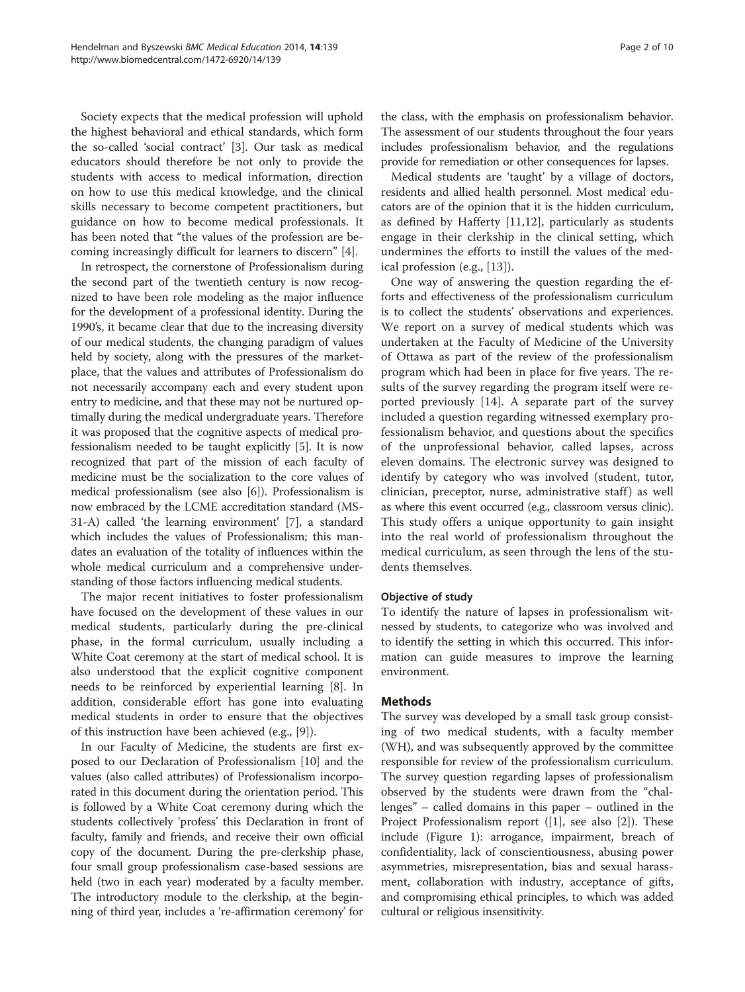Society expects that the medical profession will uphold the highest behavioral and ethical standards, which form the so-called 'social contract' [\[3\]](#page-8-0). Our task as medical educators should therefore be not only to provide the students with access to medical information, direction on how to use this medical knowledge, and the clinical skills necessary to become competent practitioners, but guidance on how to become medical professionals. It has been noted that "the values of the profession are becoming increasingly difficult for learners to discern" [[4\]](#page-8-0).

In retrospect, the cornerstone of Professionalism during the second part of the twentieth century is now recognized to have been role modeling as the major influence for the development of a professional identity. During the 1990's, it became clear that due to the increasing diversity of our medical students, the changing paradigm of values held by society, along with the pressures of the marketplace, that the values and attributes of Professionalism do not necessarily accompany each and every student upon entry to medicine, and that these may not be nurtured optimally during the medical undergraduate years. Therefore it was proposed that the cognitive aspects of medical professionalism needed to be taught explicitly [\[5\]](#page-8-0). It is now recognized that part of the mission of each faculty of medicine must be the socialization to the core values of medical professionalism (see also [[6](#page-8-0)]). Professionalism is now embraced by the LCME accreditation standard (MS-31-A) called 'the learning environment' [\[7](#page-8-0)], a standard which includes the values of Professionalism; this mandates an evaluation of the totality of influences within the whole medical curriculum and a comprehensive understanding of those factors influencing medical students.

The major recent initiatives to foster professionalism have focused on the development of these values in our medical students, particularly during the pre-clinical phase, in the formal curriculum, usually including a White Coat ceremony at the start of medical school. It is also understood that the explicit cognitive component needs to be reinforced by experiential learning [[8\]](#page-8-0). In addition, considerable effort has gone into evaluating medical students in order to ensure that the objectives of this instruction have been achieved (e.g., [[9\]](#page-8-0)).

In our Faculty of Medicine, the students are first exposed to our Declaration of Professionalism [\[10\]](#page-8-0) and the values (also called attributes) of Professionalism incorporated in this document during the orientation period. This is followed by a White Coat ceremony during which the students collectively 'profess' this Declaration in front of faculty, family and friends, and receive their own official copy of the document. During the pre-clerkship phase, four small group professionalism case-based sessions are held (two in each year) moderated by a faculty member. The introductory module to the clerkship, at the beginning of third year, includes a 're-affirmation ceremony' for

the class, with the emphasis on professionalism behavior. The assessment of our students throughout the four years includes professionalism behavior, and the regulations provide for remediation or other consequences for lapses.

Medical students are 'taught' by a village of doctors, residents and allied health personnel. Most medical educators are of the opinion that it is the hidden curriculum, as defined by Hafferty [[11](#page-8-0),[12\]](#page-8-0), particularly as students engage in their clerkship in the clinical setting, which undermines the efforts to instill the values of the medical profession (e.g., [\[13](#page-8-0)]).

One way of answering the question regarding the efforts and effectiveness of the professionalism curriculum is to collect the students' observations and experiences. We report on a survey of medical students which was undertaken at the Faculty of Medicine of the University of Ottawa as part of the review of the professionalism program which had been in place for five years. The results of the survey regarding the program itself were reported previously [[14\]](#page-8-0). A separate part of the survey included a question regarding witnessed exemplary professionalism behavior, and questions about the specifics of the unprofessional behavior, called lapses, across eleven domains. The electronic survey was designed to identify by category who was involved (student, tutor, clinician, preceptor, nurse, administrative staff) as well as where this event occurred (e.g., classroom versus clinic). This study offers a unique opportunity to gain insight into the real world of professionalism throughout the medical curriculum, as seen through the lens of the students themselves.

#### Objective of study

To identify the nature of lapses in professionalism witnessed by students, to categorize who was involved and to identify the setting in which this occurred. This information can guide measures to improve the learning environment.

## Methods

The survey was developed by a small task group consisting of two medical students, with a faculty member (WH), and was subsequently approved by the committee responsible for review of the professionalism curriculum. The survey question regarding lapses of professionalism observed by the students were drawn from the "challenges" – called domains in this paper – outlined in the Project Professionalism report ([[1\]](#page-7-0), see also [[2](#page-8-0)]). These include (Figure [1\)](#page-2-0): arrogance, impairment, breach of confidentiality, lack of conscientiousness, abusing power asymmetries, misrepresentation, bias and sexual harassment, collaboration with industry, acceptance of gifts, and compromising ethical principles, to which was added cultural or religious insensitivity.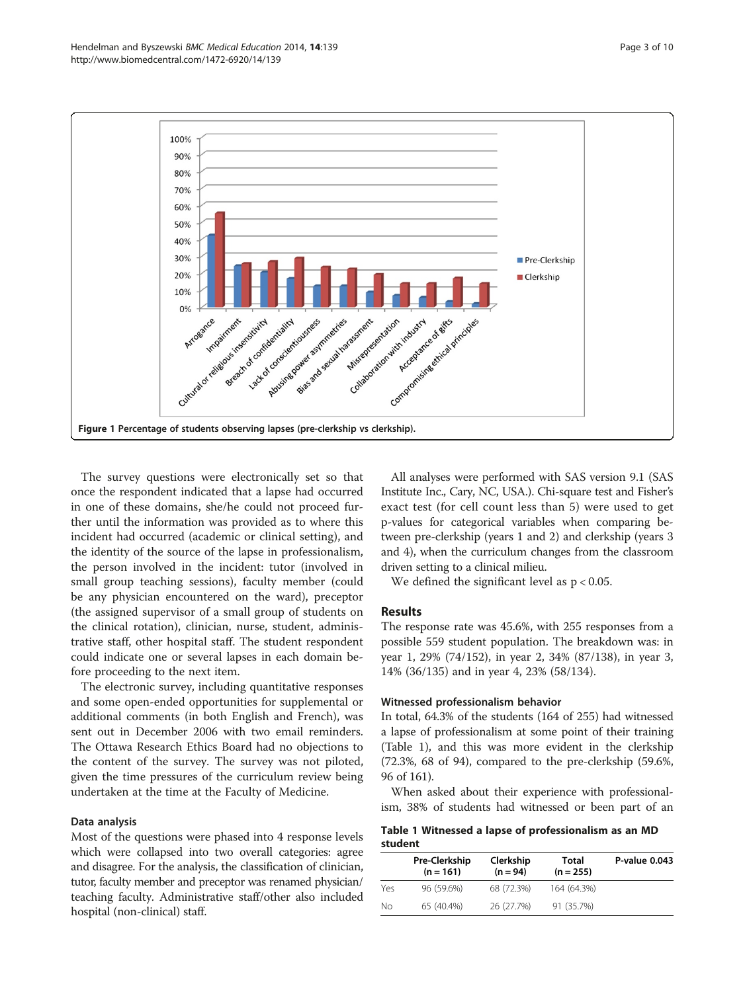<span id="page-2-0"></span>

The survey questions were electronically set so that once the respondent indicated that a lapse had occurred in one of these domains, she/he could not proceed further until the information was provided as to where this incident had occurred (academic or clinical setting), and the identity of the source of the lapse in professionalism, the person involved in the incident: tutor (involved in small group teaching sessions), faculty member (could be any physician encountered on the ward), preceptor (the assigned supervisor of a small group of students on the clinical rotation), clinician, nurse, student, administrative staff, other hospital staff. The student respondent could indicate one or several lapses in each domain before proceeding to the next item.

The electronic survey, including quantitative responses and some open-ended opportunities for supplemental or additional comments (in both English and French), was sent out in December 2006 with two email reminders. The Ottawa Research Ethics Board had no objections to the content of the survey. The survey was not piloted, given the time pressures of the curriculum review being undertaken at the time at the Faculty of Medicine.

#### Data analysis

Most of the questions were phased into 4 response levels which were collapsed into two overall categories: agree and disagree. For the analysis, the classification of clinician, tutor, faculty member and preceptor was renamed physician/ teaching faculty. Administrative staff/other also included hospital (non-clinical) staff.

All analyses were performed with SAS version 9.1 (SAS Institute Inc., Cary, NC, USA.). Chi-square test and Fisher's exact test (for cell count less than 5) were used to get p-values for categorical variables when comparing between pre-clerkship (years 1 and 2) and clerkship (years 3 and 4), when the curriculum changes from the classroom driven setting to a clinical milieu.

We defined the significant level as  $p < 0.05$ .

#### Results

The response rate was 45.6%, with 255 responses from a possible 559 student population. The breakdown was: in year 1, 29% (74/152), in year 2, 34% (87/138), in year 3, 14% (36/135) and in year 4, 23% (58/134).

#### Witnessed professionalism behavior

In total, 64.3% of the students (164 of 255) had witnessed a lapse of professionalism at some point of their training (Table 1), and this was more evident in the clerkship (72.3%, 68 of 94), compared to the pre-clerkship (59.6%, 96 of 161).

When asked about their experience with professionalism, 38% of students had witnessed or been part of an

| Table 1 Witnessed a lapse of professionalism as an MD |  |  |  |
|-------------------------------------------------------|--|--|--|
| student                                               |  |  |  |

|     | Pre-Clerkship<br>$(n = 161)$ | Clerkship<br>$(n = 94)$ | Total<br>$(n = 255)$ | <b>P-value 0.043</b> |
|-----|------------------------------|-------------------------|----------------------|----------------------|
| Yes | 96 (59.6%)                   | 68 (72.3%)              | 164 (64.3%)          |                      |
| Nο  | 65 (40.4%)                   | 26 (27.7%)              | 91 (35.7%)           |                      |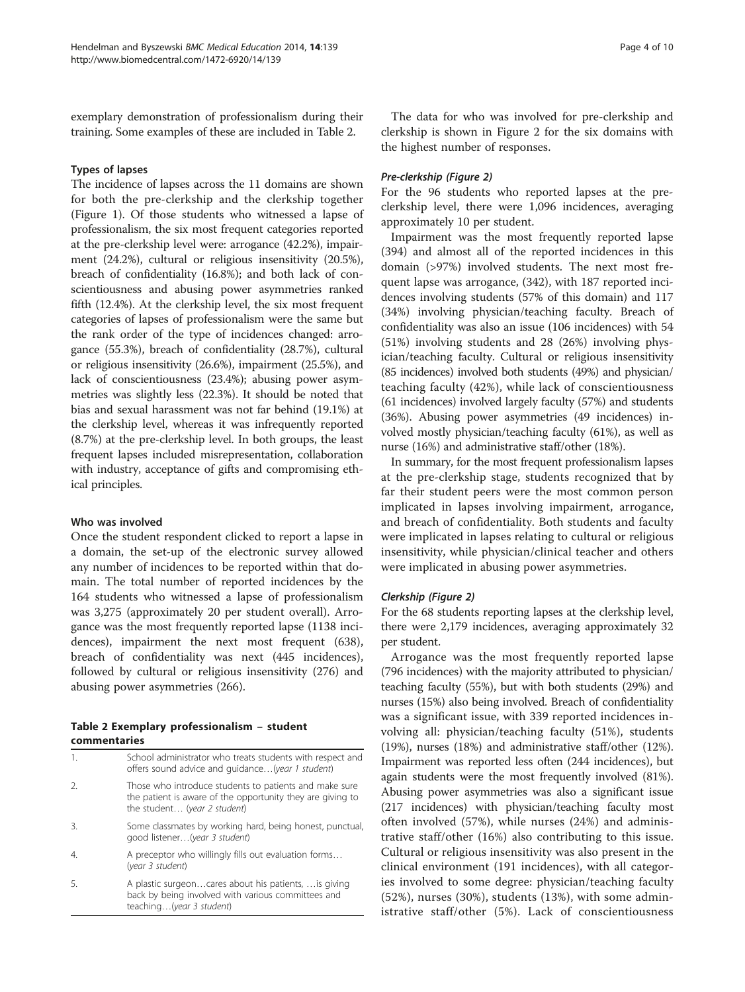exemplary demonstration of professionalism during their training. Some examples of these are included in Table 2.

#### Types of lapses

The incidence of lapses across the 11 domains are shown for both the pre-clerkship and the clerkship together (Figure [1\)](#page-2-0). Of those students who witnessed a lapse of professionalism, the six most frequent categories reported at the pre-clerkship level were: arrogance (42.2%), impairment (24.2%), cultural or religious insensitivity (20.5%), breach of confidentiality (16.8%); and both lack of conscientiousness and abusing power asymmetries ranked fifth (12.4%). At the clerkship level, the six most frequent categories of lapses of professionalism were the same but the rank order of the type of incidences changed: arrogance (55.3%), breach of confidentiality (28.7%), cultural or religious insensitivity (26.6%), impairment (25.5%), and lack of conscientiousness (23.4%); abusing power asymmetries was slightly less (22.3%). It should be noted that bias and sexual harassment was not far behind (19.1%) at the clerkship level, whereas it was infrequently reported (8.7%) at the pre-clerkship level. In both groups, the least frequent lapses included misrepresentation, collaboration with industry, acceptance of gifts and compromising ethical principles.

#### Who was involved

Once the student respondent clicked to report a lapse in a domain, the set-up of the electronic survey allowed any number of incidences to be reported within that domain. The total number of reported incidences by the 164 students who witnessed a lapse of professionalism was 3,275 (approximately 20 per student overall). Arrogance was the most frequently reported lapse (1138 incidences), impairment the next most frequent (638), breach of confidentiality was next (445 incidences), followed by cultural or religious insensitivity (276) and abusing power asymmetries (266).

#### Table 2 Exemplary professionalism – student commentaries

| 1.               | School administrator who treats students with respect and<br>offers sound advice and quidance(year 1 student)                                        |
|------------------|------------------------------------------------------------------------------------------------------------------------------------------------------|
| $\mathcal{L}$    | Those who introduce students to patients and make sure<br>the patient is aware of the opportunity they are giving to<br>the student (year 2 student) |
| 3.               | Some classmates by working hard, being honest, punctual,<br>qood listener(year 3 student)                                                            |
| $\overline{4}$ . | A preceptor who willingly fills out evaluation forms<br>(year 3 student)                                                                             |
| -5.              | A plastic surgeon cares about his patients,  is giving<br>back by being involved with various committees and<br>teaching(year 3 student)             |

The data for who was involved for pre-clerkship and clerkship is shown in Figure [2](#page-4-0) for the six domains with the highest number of responses.

For the 96 students who reported lapses at the preclerkship level, there were 1,096 incidences, averaging approximately 10 per student.

Impairment was the most frequently reported lapse (394) and almost all of the reported incidences in this domain (>97%) involved students. The next most frequent lapse was arrogance, (342), with 187 reported incidences involving students (57% of this domain) and 117 (34%) involving physician/teaching faculty. Breach of confidentiality was also an issue (106 incidences) with 54 (51%) involving students and 28 (26%) involving physician/teaching faculty. Cultural or religious insensitivity (85 incidences) involved both students (49%) and physician/ teaching faculty (42%), while lack of conscientiousness (61 incidences) involved largely faculty (57%) and students (36%). Abusing power asymmetries (49 incidences) involved mostly physician/teaching faculty (61%), as well as nurse (16%) and administrative staff/other (18%).

In summary, for the most frequent professionalism lapses at the pre-clerkship stage, students recognized that by far their student peers were the most common person implicated in lapses involving impairment, arrogance, and breach of confidentiality. Both students and faculty were implicated in lapses relating to cultural or religious insensitivity, while physician/clinical teacher and others were implicated in abusing power asymmetries.

For the 68 students reporting lapses at the clerkship level, there were 2,179 incidences, averaging approximately 32 per student.

Arrogance was the most frequently reported lapse (796 incidences) with the majority attributed to physician/ teaching faculty (55%), but with both students (29%) and nurses (15%) also being involved. Breach of confidentiality was a significant issue, with 339 reported incidences involving all: physician/teaching faculty (51%), students (19%), nurses (18%) and administrative staff/other (12%). Impairment was reported less often (244 incidences), but again students were the most frequently involved (81%). Abusing power asymmetries was also a significant issue (217 incidences) with physician/teaching faculty most often involved (57%), while nurses (24%) and administrative staff/other (16%) also contributing to this issue. Cultural or religious insensitivity was also present in the clinical environment (191 incidences), with all categories involved to some degree: physician/teaching faculty (52%), nurses (30%), students (13%), with some administrative staff/other (5%). Lack of conscientiousness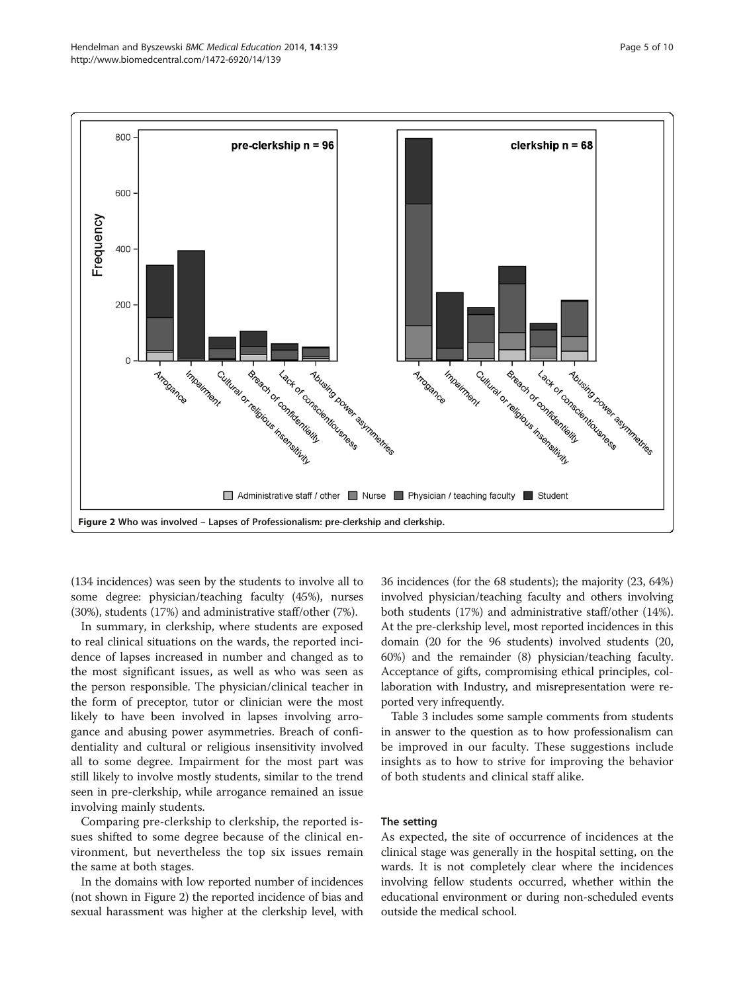<span id="page-4-0"></span>

(134 incidences) was seen by the students to involve all to some degree: physician/teaching faculty (45%), nurses (30%), students (17%) and administrative staff/other (7%).

In summary, in clerkship, where students are exposed to real clinical situations on the wards, the reported incidence of lapses increased in number and changed as to the most significant issues, as well as who was seen as the person responsible. The physician/clinical teacher in the form of preceptor, tutor or clinician were the most likely to have been involved in lapses involving arrogance and abusing power asymmetries. Breach of confidentiality and cultural or religious insensitivity involved all to some degree. Impairment for the most part was still likely to involve mostly students, similar to the trend seen in pre-clerkship, while arrogance remained an issue involving mainly students.

Comparing pre-clerkship to clerkship, the reported issues shifted to some degree because of the clinical environment, but nevertheless the top six issues remain the same at both stages.

In the domains with low reported number of incidences (not shown in Figure 2) the reported incidence of bias and sexual harassment was higher at the clerkship level, with 36 incidences (for the 68 students); the majority (23, 64%) involved physician/teaching faculty and others involving both students (17%) and administrative staff/other (14%). At the pre-clerkship level, most reported incidences in this domain (20 for the 96 students) involved students (20, 60%) and the remainder (8) physician/teaching faculty. Acceptance of gifts, compromising ethical principles, collaboration with Industry, and misrepresentation were reported very infrequently.

Table [3](#page-5-0) includes some sample comments from students in answer to the question as to how professionalism can be improved in our faculty. These suggestions include insights as to how to strive for improving the behavior of both students and clinical staff alike.

#### The setting

As expected, the site of occurrence of incidences at the clinical stage was generally in the hospital setting, on the wards. It is not completely clear where the incidences involving fellow students occurred, whether within the educational environment or during non-scheduled events outside the medical school.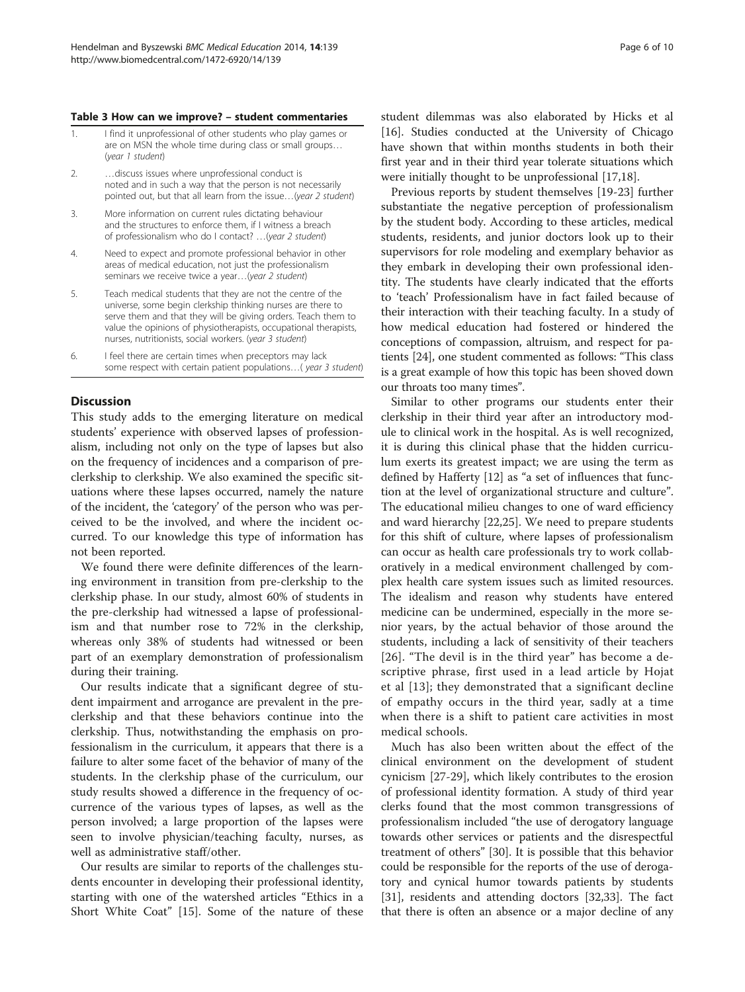#### <span id="page-5-0"></span>Table 3 How can we improve? – student commentaries

- 1. I find it unprofessional of other students who play games or are on MSN the whole time during class or small groups… (year 1 student)
- 2. …discuss issues where unprofessional conduct is noted and in such a way that the person is not necessarily pointed out, but that all learn from the issue…(year 2 student)
- 3. More information on current rules dictating behaviour and the structures to enforce them, if I witness a breach of professionalism who do I contact? …(year 2 student)
- 4. Need to expect and promote professional behavior in other areas of medical education, not just the professionalism seminars we receive twice a year…(year 2 student)
- 5. Teach medical students that they are not the centre of the universe, some begin clerkship thinking nurses are there to serve them and that they will be giving orders. Teach them to value the opinions of physiotherapists, occupational therapists, nurses, nutritionists, social workers. (year 3 student)
- 6. I feel there are certain times when preceptors may lack some respect with certain patient populations…( year 3 student)

#### **Discussion**

This study adds to the emerging literature on medical students' experience with observed lapses of professionalism, including not only on the type of lapses but also on the frequency of incidences and a comparison of preclerkship to clerkship. We also examined the specific situations where these lapses occurred, namely the nature of the incident, the 'category' of the person who was perceived to be the involved, and where the incident occurred. To our knowledge this type of information has not been reported.

We found there were definite differences of the learning environment in transition from pre-clerkship to the clerkship phase. In our study, almost 60% of students in the pre-clerkship had witnessed a lapse of professionalism and that number rose to 72% in the clerkship, whereas only 38% of students had witnessed or been part of an exemplary demonstration of professionalism during their training.

Our results indicate that a significant degree of student impairment and arrogance are prevalent in the preclerkship and that these behaviors continue into the clerkship. Thus, notwithstanding the emphasis on professionalism in the curriculum, it appears that there is a failure to alter some facet of the behavior of many of the students. In the clerkship phase of the curriculum, our study results showed a difference in the frequency of occurrence of the various types of lapses, as well as the person involved; a large proportion of the lapses were seen to involve physician/teaching faculty, nurses, as well as administrative staff/other.

Our results are similar to reports of the challenges students encounter in developing their professional identity, starting with one of the watershed articles "Ethics in a Short White Coat" [[15\]](#page-8-0). Some of the nature of these

student dilemmas was also elaborated by Hicks et al [[16\]](#page-8-0). Studies conducted at the University of Chicago have shown that within months students in both their first year and in their third year tolerate situations which were initially thought to be unprofessional [[17](#page-8-0),[18](#page-8-0)].

Previous reports by student themselves [[19](#page-8-0)-[23\]](#page-8-0) further substantiate the negative perception of professionalism by the student body. According to these articles, medical students, residents, and junior doctors look up to their supervisors for role modeling and exemplary behavior as they embark in developing their own professional identity. The students have clearly indicated that the efforts to 'teach' Professionalism have in fact failed because of their interaction with their teaching faculty. In a study of how medical education had fostered or hindered the conceptions of compassion, altruism, and respect for patients [[24](#page-8-0)], one student commented as follows: "This class is a great example of how this topic has been shoved down our throats too many times".

Similar to other programs our students enter their clerkship in their third year after an introductory module to clinical work in the hospital. As is well recognized, it is during this clinical phase that the hidden curriculum exerts its greatest impact; we are using the term as defined by Hafferty [[12\]](#page-8-0) as "a set of influences that function at the level of organizational structure and culture". The educational milieu changes to one of ward efficiency and ward hierarchy [[22,25\]](#page-8-0). We need to prepare students for this shift of culture, where lapses of professionalism can occur as health care professionals try to work collaboratively in a medical environment challenged by complex health care system issues such as limited resources. The idealism and reason why students have entered medicine can be undermined, especially in the more senior years, by the actual behavior of those around the students, including a lack of sensitivity of their teachers [[26](#page-8-0)]. "The devil is in the third year" has become a descriptive phrase, first used in a lead article by Hojat et al [[13](#page-8-0)]; they demonstrated that a significant decline of empathy occurs in the third year, sadly at a time when there is a shift to patient care activities in most medical schools.

Much has also been written about the effect of the clinical environment on the development of student cynicism [[27-29](#page-8-0)], which likely contributes to the erosion of professional identity formation. A study of third year clerks found that the most common transgressions of professionalism included "the use of derogatory language towards other services or patients and the disrespectful treatment of others" [[30\]](#page-8-0). It is possible that this behavior could be responsible for the reports of the use of derogatory and cynical humor towards patients by students [[31\]](#page-8-0), residents and attending doctors [[32,33\]](#page-8-0). The fact that there is often an absence or a major decline of any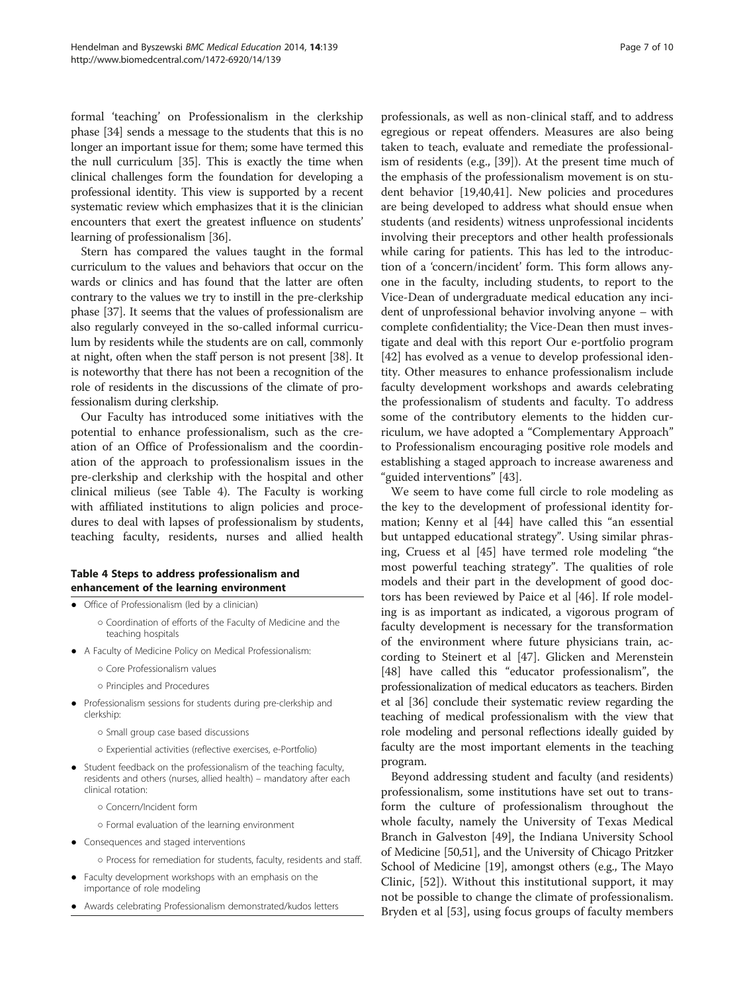formal 'teaching' on Professionalism in the clerkship phase [[34](#page-8-0)] sends a message to the students that this is no longer an important issue for them; some have termed this the null curriculum [[35](#page-8-0)]. This is exactly the time when clinical challenges form the foundation for developing a professional identity. This view is supported by a recent systematic review which emphasizes that it is the clinician encounters that exert the greatest influence on students' learning of professionalism [\[36\]](#page-8-0).

Stern has compared the values taught in the formal curriculum to the values and behaviors that occur on the wards or clinics and has found that the latter are often contrary to the values we try to instill in the pre-clerkship phase [[37](#page-8-0)]. It seems that the values of professionalism are also regularly conveyed in the so-called informal curriculum by residents while the students are on call, commonly at night, often when the staff person is not present [[38](#page-8-0)]. It is noteworthy that there has not been a recognition of the role of residents in the discussions of the climate of professionalism during clerkship.

Our Faculty has introduced some initiatives with the potential to enhance professionalism, such as the creation of an Office of Professionalism and the coordination of the approach to professionalism issues in the pre-clerkship and clerkship with the hospital and other clinical milieus (see Table 4). The Faculty is working with affiliated institutions to align policies and procedures to deal with lapses of professionalism by students, teaching faculty, residents, nurses and allied health

#### Table 4 Steps to address professionalism and enhancement of the learning environment

- Office of Professionalism (led by a clinician)
	- Coordination of efforts of the Faculty of Medicine and the teaching hospitals
- A Faculty of Medicine Policy on Medical Professionalism:
	- Core Professionalism values
	- Principles and Procedures
- Professionalism sessions for students during pre-clerkship and clerkship:
	- Small group case based discussions
	- Experiential activities (reflective exercises, e-Portfolio)
- Student feedback on the professionalism of the teaching faculty, residents and others (nurses, allied health) – mandatory after each clinical rotation:
	- Concern/Incident form
	- Formal evaluation of the learning environment
- Consequences and staged interventions
	- Process for remediation for students, faculty, residents and staff.
- Faculty development workshops with an emphasis on the importance of role modeling
- Awards celebrating Professionalism demonstrated/kudos letters

professionals, as well as non-clinical staff, and to address egregious or repeat offenders. Measures are also being taken to teach, evaluate and remediate the professionalism of residents (e.g., [\[39](#page-8-0)]). At the present time much of the emphasis of the professionalism movement is on student behavior [[19](#page-8-0),[40](#page-8-0),[41](#page-8-0)]. New policies and procedures are being developed to address what should ensue when students (and residents) witness unprofessional incidents involving their preceptors and other health professionals while caring for patients. This has led to the introduction of a 'concern/incident' form. This form allows anyone in the faculty, including students, to report to the Vice-Dean of undergraduate medical education any incident of unprofessional behavior involving anyone – with complete confidentiality; the Vice-Dean then must investigate and deal with this report Our e-portfolio program [[42\]](#page-8-0) has evolved as a venue to develop professional identity. Other measures to enhance professionalism include faculty development workshops and awards celebrating the professionalism of students and faculty. To address some of the contributory elements to the hidden curriculum, we have adopted a "Complementary Approach" to Professionalism encouraging positive role models and establishing a staged approach to increase awareness and "guided interventions" [\[43](#page-8-0)].

We seem to have come full circle to role modeling as the key to the development of professional identity formation; Kenny et al [[44\]](#page-8-0) have called this "an essential but untapped educational strategy". Using similar phrasing, Cruess et al [[45\]](#page-8-0) have termed role modeling "the most powerful teaching strategy". The qualities of role models and their part in the development of good doctors has been reviewed by Paice et al [\[46\]](#page-8-0). If role modeling is as important as indicated, a vigorous program of faculty development is necessary for the transformation of the environment where future physicians train, according to Steinert et al [[47\]](#page-8-0). Glicken and Merenstein [[48\]](#page-8-0) have called this "educator professionalism", the professionalization of medical educators as teachers. Birden et al [[36](#page-8-0)] conclude their systematic review regarding the teaching of medical professionalism with the view that role modeling and personal reflections ideally guided by faculty are the most important elements in the teaching program.

Beyond addressing student and faculty (and residents) professionalism, some institutions have set out to transform the culture of professionalism throughout the whole faculty, namely the University of Texas Medical Branch in Galveston [\[49](#page-8-0)], the Indiana University School of Medicine [\[50,51\]](#page-8-0), and the University of Chicago Pritzker School of Medicine [[19](#page-8-0)], amongst others (e.g., The Mayo Clinic, [[52\]](#page-8-0)). Without this institutional support, it may not be possible to change the climate of professionalism. Bryden et al [\[53](#page-8-0)], using focus groups of faculty members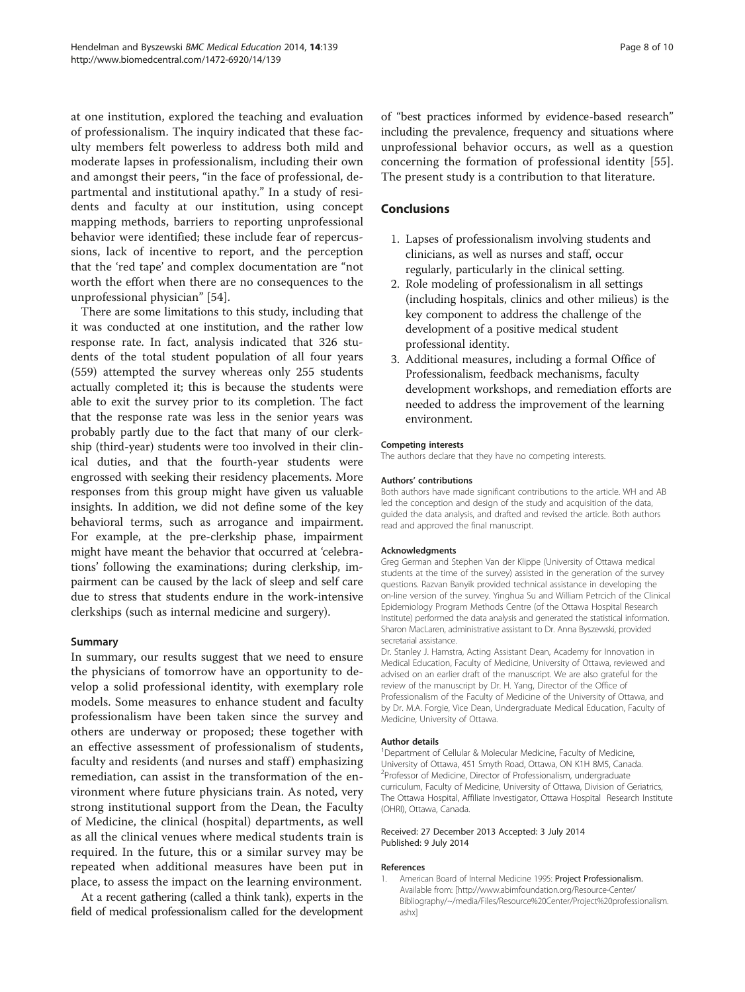<span id="page-7-0"></span>at one institution, explored the teaching and evaluation of professionalism. The inquiry indicated that these faculty members felt powerless to address both mild and moderate lapses in professionalism, including their own and amongst their peers, "in the face of professional, departmental and institutional apathy." In a study of residents and faculty at our institution, using concept mapping methods, barriers to reporting unprofessional behavior were identified; these include fear of repercussions, lack of incentive to report, and the perception that the 'red tape' and complex documentation are "not worth the effort when there are no consequences to the unprofessional physician" [[54\]](#page-9-0).

There are some limitations to this study, including that it was conducted at one institution, and the rather low response rate. In fact, analysis indicated that 326 students of the total student population of all four years (559) attempted the survey whereas only 255 students actually completed it; this is because the students were able to exit the survey prior to its completion. The fact that the response rate was less in the senior years was probably partly due to the fact that many of our clerkship (third-year) students were too involved in their clinical duties, and that the fourth-year students were engrossed with seeking their residency placements. More responses from this group might have given us valuable insights. In addition, we did not define some of the key behavioral terms, such as arrogance and impairment. For example, at the pre-clerkship phase, impairment might have meant the behavior that occurred at 'celebrations' following the examinations; during clerkship, impairment can be caused by the lack of sleep and self care due to stress that students endure in the work-intensive clerkships (such as internal medicine and surgery).

#### Summary

In summary, our results suggest that we need to ensure the physicians of tomorrow have an opportunity to develop a solid professional identity, with exemplary role models. Some measures to enhance student and faculty professionalism have been taken since the survey and others are underway or proposed; these together with an effective assessment of professionalism of students, faculty and residents (and nurses and staff ) emphasizing remediation, can assist in the transformation of the environment where future physicians train. As noted, very strong institutional support from the Dean, the Faculty of Medicine, the clinical (hospital) departments, as well as all the clinical venues where medical students train is required. In the future, this or a similar survey may be repeated when additional measures have been put in place, to assess the impact on the learning environment.

At a recent gathering (called a think tank), experts in the field of medical professionalism called for the development of "best practices informed by evidence-based research" including the prevalence, frequency and situations where unprofessional behavior occurs, as well as a question concerning the formation of professional identity [\[55](#page-9-0)]. The present study is a contribution to that literature.

### Conclusions

- 1. Lapses of professionalism involving students and clinicians, as well as nurses and staff, occur regularly, particularly in the clinical setting.
- 2. Role modeling of professionalism in all settings (including hospitals, clinics and other milieus) is the key component to address the challenge of the development of a positive medical student professional identity.
- 3. Additional measures, including a formal Office of Professionalism, feedback mechanisms, faculty development workshops, and remediation efforts are needed to address the improvement of the learning environment.

#### Competing interests

The authors declare that they have no competing interests.

#### Authors' contributions

Both authors have made significant contributions to the article. WH and AB led the conception and design of the study and acquisition of the data, guided the data analysis, and drafted and revised the article. Both authors read and approved the final manuscript.

#### Acknowledgments

Greg German and Stephen Van der Klippe (University of Ottawa medical students at the time of the survey) assisted in the generation of the survey questions. Razvan Banyik provided technical assistance in developing the on-line version of the survey. Yinghua Su and William Petrcich of the Clinical Epidemiology Program Methods Centre (of the Ottawa Hospital Research Institute) performed the data analysis and generated the statistical information. Sharon MacLaren, administrative assistant to Dr. Anna Byszewski, provided secretarial assistance

Dr. Stanley J. Hamstra, Acting Assistant Dean, Academy for Innovation in Medical Education, Faculty of Medicine, University of Ottawa, reviewed and advised on an earlier draft of the manuscript. We are also grateful for the review of the manuscript by Dr. H. Yang, Director of the Office of Professionalism of the Faculty of Medicine of the University of Ottawa, and by Dr. M.A. Forgie, Vice Dean, Undergraduate Medical Education, Faculty of Medicine, University of Ottawa.

#### Author details

<sup>1</sup> Department of Cellular & Molecular Medicine, Faculty of Medicine University of Ottawa, 451 Smyth Road, Ottawa, ON K1H 8M5, Canada. 2 Professor of Medicine, Director of Professionalism, undergraduate curriculum, Faculty of Medicine, University of Ottawa, Division of Geriatrics, The Ottawa Hospital, Affiliate Investigator, Ottawa Hospital Research Institute (OHRI), Ottawa, Canada.

#### Received: 27 December 2013 Accepted: 3 July 2014 Published: 9 July 2014

#### References

1. American Board of Internal Medicine 1995: Project Professionalism. Available from: [[http://www.abimfoundation.org/Resource-Center/](http://www.abimfoundation.org/Resource-Center/Bibliography/~/media/Files/Resource%20Center/Project%20professionalism.ashx) [Bibliography/~/media/Files/Resource%20Center/Project%20professionalism.](http://www.abimfoundation.org/Resource-Center/Bibliography/~/media/Files/Resource%20Center/Project%20professionalism.ashx) [ashx](http://www.abimfoundation.org/Resource-Center/Bibliography/~/media/Files/Resource%20Center/Project%20professionalism.ashx)]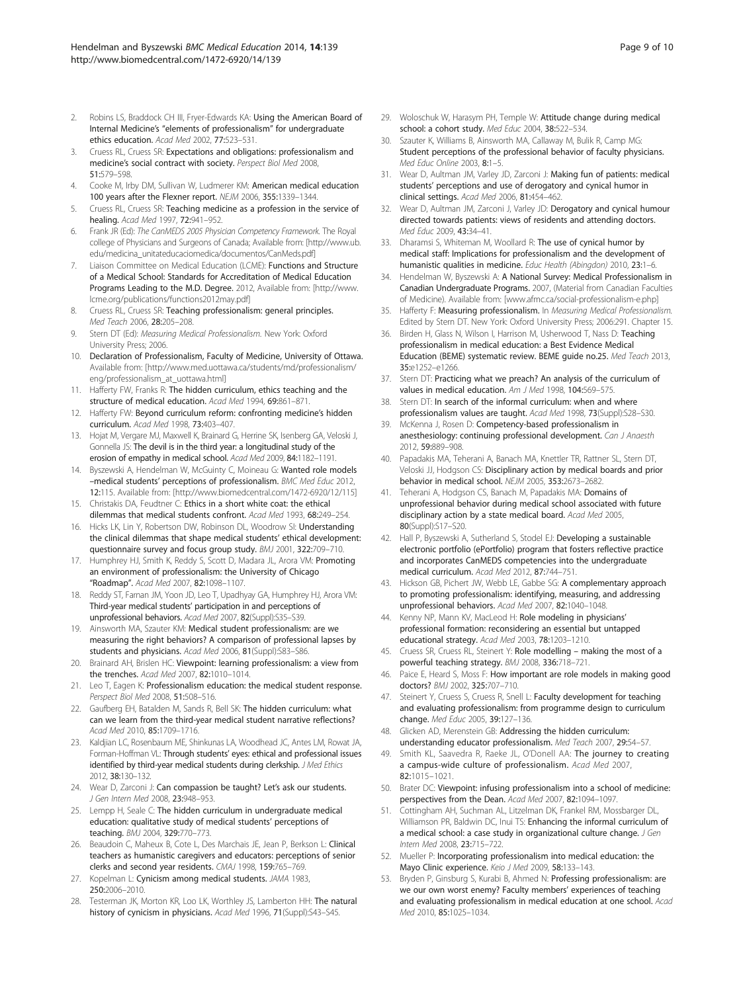- <span id="page-8-0"></span>2. Robins LS, Braddock CH III, Fryer-Edwards KA: Using the American Board of Internal Medicine's "elements of professionalism" for undergraduate ethics education. Acad Med 2002, 77:523–531.
- 3. Cruess RL, Cruess SR: Expectations and obligations: professionalism and medicine's social contract with society. Perspect Biol Med 2008, 51:579–598.
- 4. Cooke M, Irby DM, Sullivan W, Ludmerer KM: American medical education 100 years after the Flexner report. NEJM 2006, 355:1339-1344
- 5. Cruess RL, Cruess SR: Teaching medicine as a profession in the service of healing. Acad Med 1997, 72:941–952.
- 6. Frank JR (Ed): The CanMEDS 2005 Physician Competency Framework. The Royal college of Physicians and Surgeons of Canada; Available from: [\[http://www.ub.](http://www.ub.edu/medicina_unitateducaciomedica/documentos/CanMeds.pdf) [edu/medicina\\_unitateducaciomedica/documentos/CanMeds.pdf\]](http://www.ub.edu/medicina_unitateducaciomedica/documentos/CanMeds.pdf)
- 7. Liaison Committee on Medical Education (LCME): Functions and Structure of a Medical School: Standards for Accreditation of Medical Education Programs Leading to the M.D. Degree. 2012, Available from: [\[http://www.](http://www.lcme.org/publications/functions2012may.pdf) [lcme.org/publications/functions2012may.pdf\]](http://www.lcme.org/publications/functions2012may.pdf)
- Cruess RL, Cruess SR: Teaching professionalism: general principles. Med Teach 2006, 28:205–208.
- 9. Stern DT (Ed): Measuring Medical Professionalism. New York: Oxford University Press; 2006.
- 10. Declaration of Professionalism, Faculty of Medicine, University of Ottawa. Available from: [[http://www.med.uottawa.ca/students/md/professionalism/](http://www.med.uottawa.ca/students/md/professionalism/eng/professionalism_at_uottawa.html) [eng/professionalism\\_at\\_uottawa.html](http://www.med.uottawa.ca/students/md/professionalism/eng/professionalism_at_uottawa.html)]
- 11. Hafferty FW, Franks R: The hidden curriculum, ethics teaching and the structure of medical education. Acad Med 1994, 69:861–871.
- 12. Hafferty FW: Beyond curriculum reform: confronting medicine's hidden curriculum. Acad Med 1998, 73:403–407.
- 13. Hojat M, Vergare MJ, Maxwell K, Brainard G, Herrine SK, Isenberg GA, Veloski J, Gonnella JS: The devil is in the third year: a longitudinal study of the erosion of empathy in medical school. Acad Med 2009, 84:1182–1191.
- 14. Byszewski A, Hendelman W, McGuinty C, Moineau G: Wanted role models –medical students' perceptions of professionalism. BMC Med Educ 2012, 12:115. Available from: [\[http://www.biomedcentral.com/1472-6920/12/115\]](http://www.biomedcentral.com/1472-6920/12/115)
- 15. Christakis DA, Feudtner C: Ethics in a short white coat: the ethical dilemmas that medical students confront. Acad Med 1993, 68:249–254.
- 16. Hicks LK, Lin Y, Robertson DW, Robinson DL, Woodrow SI: Understanding the clinical dilemmas that shape medical students' ethical development: questionnaire survey and focus group study. BMJ 2001, 322:709–710.
- 17. Humphrey HJ, Smith K, Reddy S, Scott D, Madara JL, Arora VM: Promoting an environment of professionalism: the University of Chicago "Roadmap". Acad Med 2007, 82:1098–1107.
- 18. Reddy ST, Farnan JM, Yoon JD, Leo T, Upadhyay GA, Humphrey HJ, Arora VM: Third-year medical students' participation in and perceptions of unprofessional behaviors. Acad Med 2007, 82(Suppl):S35–S39.
- 19. Ainsworth MA, Szauter KM: Medical student professionalism: are we measuring the right behaviors? A comparison of professional lapses by students and physicians. Acad Med 2006, 81(Suppl):S83–S86.
- 20. Brainard AH, Brislen HC: Viewpoint: learning professionalism: a view from the trenches. Acad Med 2007, 82:1010–1014.
- 21. Leo T, Eagen K: Professionalism education: the medical student response. Perspect Biol Med 2008, 51:508–516.
- 22. Gaufberg EH, Batalden M, Sands R, Bell SK: The hidden curriculum: what can we learn from the third-year medical student narrative reflections? Acad Med 2010, 85:1709–1716.
- 23. Kaldjian LC, Rosenbaum ME, Shinkunas LA, Woodhead JC, Antes LM, Rowat JA, Forman-Hoffman VL: Through students' eyes: ethical and professional issues identified by third-year medical students during clerkship. J Med Ethics 2012, 38:130–132.
- 24. Wear D, Zarconi J: Can compassion be taught? Let's ask our students. J Gen Intern Med 2008, 23:948–953.
- 25. Lempp H, Seale C: The hidden curriculum in undergraduate medical education: qualitative study of medical students' perceptions of teaching. BMJ 2004, 329:770–773.
- 26. Beaudoin C, Maheux B, Cote L, Des Marchais JE, Jean P, Berkson L: Clinical teachers as humanistic caregivers and educators: perceptions of senior clerks and second year residents. CMAJ 1998, 159:765–769.
- 27. Kopelman L: Cynicism among medical students. JAMA 1983, 250:2006–2010.
- 28. Testerman JK, Morton KR, Loo LK, Worthley JS, Lamberton HH: The natural history of cynicism in physicians. Acad Med 1996, 71(Suppl):S43-S45.
- 29. Woloschuk W, Harasym PH, Temple W: Attitude change during medical school: a cohort study. Med Educ 2004, 38:522–534.
- 30. Szauter K, Williams B, Ainsworth MA, Callaway M, Bulik R, Camp MG: Student perceptions of the professional behavior of faculty physicians. Med Educ Online 2003, 8:1–5.
- 31. Wear D, Aultman JM, Varley JD, Zarconi J: Making fun of patients: medical students' perceptions and use of derogatory and cynical humor in clinical settings. Acad Med 2006, 81:454–462.
- 32. Wear D, Aultman JM, Zarconi J, Varley JD: Derogatory and cynical humour directed towards patients: views of residents and attending doctors. Med Fduc 2009, 43:34-41.
- 33. Dharamsi S, Whiteman M, Woollard R: The use of cynical humor by medical staff: Implications for professionalism and the development of humanistic qualities in medicine. Educ Health (Abinadon) 2010, 23:1-6.
- Hendelman W, Byszewski A: A National Survey: Medical Professionalism in Canadian Undergraduate Programs. 2007, (Material from Canadian Faculties of Medicine). Available from: [[www.afmc.ca/social-professionalism-e.php\]](http://www.afmc.ca/social-professionalism-e.php)
- 35. Hafferty F: Measuring professionalism. In Measuring Medical Professionalism. Edited by Stern DT. New York: Oxford University Press; 2006:291. Chapter 15.
- 36. Birden H, Glass N, Wilson I, Harrison M, Usherwood T, Nass D: Teaching professionalism in medical education: a Best Evidence Medical Education (BEME) systematic review. BEME guide no.25. Med Teach 2013, 35:e1252–e1266.
- 37. Stern DT: Practicing what we preach? An analysis of the curriculum of values in medical education. Am J Med 1998, 104:569-575.
- 38. Stern DT: In search of the informal curriculum: when and where professionalism values are taught. Acad Med 1998, 73(Suppl):S28–S30.
- 39. McKenna J, Rosen D: Competency-based professionalism in anesthesiology: continuing professional development. Can J Anaesth 2012, 59:889–908.
- 40. Papadakis MA, Teherani A, Banach MA, Knettler TR, Rattner SL, Stern DT, Veloski JJ, Hodgson CS: Disciplinary action by medical boards and prior behavior in medical school. NEJM 2005, 353:2673–2682.
- 41. Teherani A, Hodgson CS, Banach M, Papadakis MA: Domains of unprofessional behavior during medical school associated with future disciplinary action by a state medical board. Acad Med 2005, 80(Suppl):S17–S20.
- 42. Hall P, Byszewski A, Sutherland S, Stodel EJ: Developing a sustainable electronic portfolio (ePortfolio) program that fosters reflective practice and incorporates CanMEDS competencies into the undergraduate medical curriculum. Acad Med 2012, 87:744–751.
- 43. Hickson GB, Pichert JW, Webb LE, Gabbe SG: A complementary approach to promoting professionalism: identifying, measuring, and addressing unprofessional behaviors. Acad Med 2007, 82:1040–1048.
- 44. Kenny NP, Mann KV, MacLeod H: Role modeling in physicians' professional formation: reconsidering an essential but untapped educational strategy. Acad Med 2003, 78:1203–1210.
- 45. Cruess SR, Cruess RL, Steinert Y: Role modelling making the most of a powerful teaching strategy. BMJ 2008, 336:718–721.
- 46. Paice E, Heard S, Moss F: How important are role models in making good doctors? BMJ 2002, 325:707–710.
- 47. Steinert Y, Cruess S, Cruess R, Snell L: Faculty development for teaching and evaluating professionalism: from programme design to curriculum change. Med Educ 2005, 39:127–136.
- Glicken AD, Merenstein GB: Addressing the hidden curriculum: understanding educator professionalism. Med Teach 2007, 29:54–57.
- 49. Smith KL, Saavedra R, Raeke JL, O'Donell AA: The journey to creating a campus-wide culture of professionalism. Acad Med 2007, 82:1015–1021.
- 50. Brater DC: Viewpoint: infusing professionalism into a school of medicine: perspectives from the Dean. Acad Med 2007, 82:1094–1097.
- 51. Cottingham AH, Suchman AL, Litzelman DK, Frankel RM, Mossbarger DL, Williamson PR, Baldwin DC, Inui TS: Enhancing the informal curriculum of a medical school: a case study in organizational culture change. J Gen Intern Med 2008, 23:715–722.
- 52. Mueller P: Incorporating professionalism into medical education: the Mayo Clinic experience. Keio J Med 2009, 58:133–143.
- 53. Bryden P, Ginsburg S, Kurabi B, Ahmed N: Professing professionalism: are we our own worst enemy? Faculty members' experiences of teaching and evaluating professionalism in medical education at one school. Acad Med 2010, 85:1025–1034.